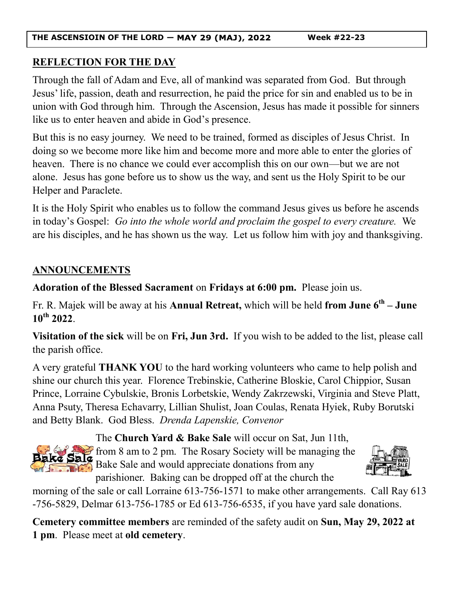**THE ASCENSIOIN OF THE LORD — Week #22-23**

## **REFLECTION FOR THE DAY**

Through the fall of Adam and Eve, all of mankind was separated from God. But through Jesus' life, passion, death and resurrection, he paid the price for sin and enabled us to be in union with God through him. Through the Ascension, Jesus has made it possible for sinners like us to enter heaven and abide in God's presence.

But this is no easy journey. We need to be trained, formed as disciples of Jesus Christ. In doing so we become more like him and become more and more able to enter the glories of heaven. There is no chance we could ever accomplish this on our own—but we are not alone. Jesus has gone before us to show us the way, and sent us the Holy Spirit to be our Helper and Paraclete.

It is the Holy Spirit who enables us to follow the command Jesus gives us before he ascends in today's Gospel: *Go into the whole world and proclaim the gospel to every creature.* We are his disciples, and he has shown us the way. Let us follow him with joy and thanksgiving.

# **ANNOUNCEMENTS**

**Adoration of the Blessed Sacrament** on **Fridays at 6:00 pm.** Please join us.

Fr. R. Majek will be away at his **Annual Retreat,** which will be held **from June 6th – June 10th 2022**.

**Visitation of the sick** will be on **Fri, Jun 3rd.** If you wish to be added to the list, please call the parish office.

A very grateful **THANK YOU** to the hard working volunteers who came to help polish and shine our church this year. Florence Trebinskie, Catherine Bloskie, Carol Chippior, Susan Prince, Lorraine Cybulskie, Bronis Lorbetskie, Wendy Zakrzewski, Virginia and Steve Platt, Anna Psuty, Theresa Echavarry, Lillian Shulist, Joan Coulas, Renata Hyiek, Ruby Borutski and Betty Blank. God Bless. *Drenda Lapenskie, Convenor*



The **Church Yard & Bake Sale** will occur on Sat, Jun 11th,  $\blacktriangleright$  from 8 am to 2 pm. The Rosary Society will be managing the Bake Sale and would appreciate donations from any parishioner. Baking can be dropped off at the church the



morning of the sale or call Lorraine 613-756-1571 to make other arrangements. Call Ray 613 -756-5829, Delmar 613-756-1785 or Ed 613-756-6535, if you have yard sale donations.

**Cemetery committee members** are reminded of the safety audit on **Sun, May 29, 2022 at 1 pm**. Please meet at **old cemetery**.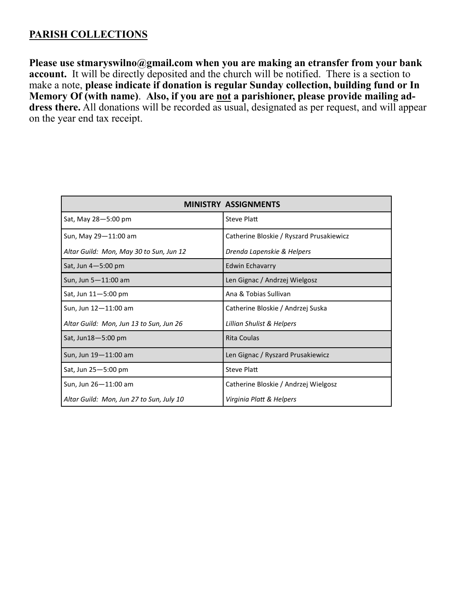## **PARISH COLLECTIONS**

**Please use stmaryswilno@gmail.com when you are making an etransfer from your bank account.** It will be directly deposited and the church will be notified. There is a section to make a note, **please indicate if donation is regular Sunday collection, building fund or In Memory Of (with name)**. **Also, if you are not a parishioner, please provide mailing ad**dress there. All donations will be recorded as usual, designated as per request, and will appear on the year end tax receipt.

| ISTRY ASSIGNMENTS                        |                                          |  |
|------------------------------------------|------------------------------------------|--|
| Sat, May 28-5:00 pm                      | <b>Steve Platt</b>                       |  |
| Sun, May 29-11:00 am                     | Catherine Bloskie / Ryszard Prusakiewicz |  |
| Altar Guild: Mon, May 30 to Sun, Jun 12  | Drenda Lapenskie & Helpers               |  |
| Sat, Jun $4-5:00$ pm                     | <b>Edwin Echavarry</b>                   |  |
| Sun, Jun 5-11:00 am                      | Len Gignac / Andrzej Wielgosz            |  |
| Sat, Jun $11 - 5:00$ pm                  | Ana & Tobias Sullivan                    |  |
| Sun, Jun 12-11:00 am                     | Catherine Bloskie / Andrzej Suska        |  |
| Altar Guild: Mon, Jun 13 to Sun, Jun 26  | Lillian Shulist & Helpers                |  |
| Sat, Jun18-5:00 pm                       | Rita Coulas                              |  |
| Sun, Jun 19-11:00 am                     | Len Gignac / Ryszard Prusakiewicz        |  |
| Sat, Jun 25-5:00 pm                      | <b>Steve Platt</b>                       |  |
| Sun, Jun 26-11:00 am                     | Catherine Bloskie / Andrzej Wielgosz     |  |
| Altar Guild: Mon, Jun 27 to Sun, July 10 | Virginia Platt & Helpers                 |  |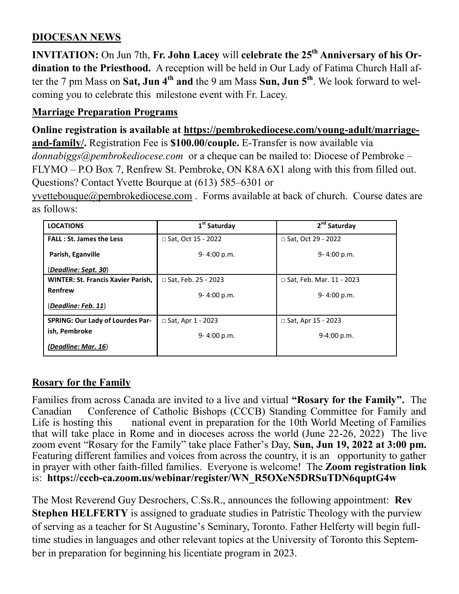# **DIOCESAN NEWS**

**INVITATION:** On Jun 7th, **Fr. John Lacey** will **celebrate the 25th Anniversary of his Ordination to the Priesthood.** A reception will be held in Our Lady of Fatima Church Hall after the 7 pm Mass on **Sat, Jun 4th and** the 9 am Mass **Sun, Jun 5th**. We look forward to welcoming you to celebrate this milestone event with Fr. Lacey.

### **Marriage Preparation Programs**

**Online registration is available at [https://pembrokediocese.com/young](https://pembrokediocese.com/young-adult/marriage-and-family/)-adult/marriageand-[family/.](https://pembrokediocese.com/young-adult/marriage-and-family/)** Registration Fee is **\$100.00/couple.** E-Transfer is now available via *donnabiggs@pembrokediocese.com* or a cheque can be mailed to: Diocese of Pembroke – FLYMO – P.O Box 7, Renfrew St. Pembroke, ON K8A 6X1 along with this from filled out. Questions? Contact Yvette Bourque at (613) 585–6301 or

[yvettebouque@pembrokediocese.com](mailto:yvettebourque@pembrokediocese.com) . Forms available at back of church. Course dates are as follows:

| <b>LOCATIONS</b>                          | 1 <sup>st</sup> Saturday | 2 <sup>nd</sup> Saturday        |
|-------------------------------------------|--------------------------|---------------------------------|
| <b>FALL: St. James the Less</b>           | □ Sat, Oct 15 - 2022     | □ Sat, Oct 29 - 2022            |
| Parish, Eganville                         | $9 - 4:00 p.m.$          | $9 - 4:00 p.m.$                 |
| (Deadline: Sept. 30)                      |                          |                                 |
| <b>WINTER: St. Francis Xavier Parish,</b> | □ Sat, Feb. 25 - 2023    | $\Box$ Sat, Feb. Mar. 11 - 2023 |
| Renfrew                                   | $9 - 4:00 p.m.$          | $9 - 4:00 p.m.$                 |
| (Deadline: Feb. 11)                       |                          |                                 |
| <b>SPRING: Our Lady of Lourdes Par-</b>   | $\Box$ Sat, Apr 1 - 2023 | $\Box$ Sat, Apr 15 - 2023       |
| ish, Pembroke                             | 9-4:00 p.m.              | 9-4:00 p.m.                     |
| (Deadline: Mar. 16)                       |                          |                                 |

### **Rosary for the Family**

Families from across Canada are invited to a live and virtual **"Rosary for the Family".** The Canadian Conference of Catholic Bishops (CCCB) Standing Committee for Family and Life is hosting this national event in preparation for the 10th World Meeting of Families that will take place in Rome and in dioceses across the world (June  $22-26$ ,  $20\overline{2}2$ ) The live zoom event "Rosary for the Family" take place Father's Day, **Sun, Jun 19, 2022 at 3:00 pm.**  Featuring different families and voices from across the country, it is an opportunity to gather in prayer with other faith-filled families. Everyone is welcome! The **[Zoom registration link](https://cccb-ca.zoom.us/webinar/register/WN_R5OXeN5DRSuTDN6quptG4w)**  is: **https://cccb-[ca.zoom.us/webinar/register/WN\\_R5OXeN5DRSuTDN6quptG4w](https://cccb-ca.zoom.us/webinar/register/WN_R5OXeN5DRSuTDN6quptG4w)**

The Most Reverend Guy Desrochers, C.Ss.R., announces the following appointment: **Rev Stephen HELFERTY** is assigned to graduate studies in Patristic Theology with the purview of serving as a teacher for St Augustine's Seminary, Toronto. Father Helferty will begin fulltime studies in languages and other relevant topics at the University of Toronto this September in preparation for beginning his licentiate program in 2023.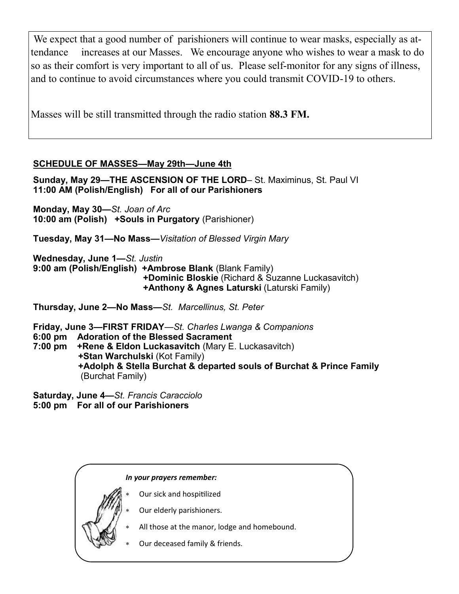We expect that a good number of parishioners will continue to wear masks, especially as attendance increases at our Masses. We encourage anyone who wishes to wear a mask to do so as their comfort is very important to all of us. Please self-monitor for any signs of illness, and to continue to avoid circumstances where you could transmit COVID-19 to others.

Masses will be still transmitted through the radio station **88.3 FM.**

### **SCHEDULE OF MASSES—May 29th—June 4th**

**Sunday, May 29—THE ASCENSION OF THE LORD**– St. Maximinus, St. Paul VI **11:00 AM (Polish/English) For all of our Parishioners**

**Monday, May 30—***St. Joan of Arc* **10:00 am (Polish) +Souls in Purgatory** (Parishioner)

**Tuesday, May 31—No Mass***—Visitation of Blessed Virgin Mary*

**Wednesday, June 1—***St. Justin* **9:00 am (Polish/English) +Ambrose Blank** (Blank Family) **+Dominic Bloskie** (Richard & Suzanne Luckasavitch) **+Anthony & Agnes Laturski** (Laturski Family)

**Thursday, June 2—No Mass—***St. Marcellinus, St. Peter*

**Friday, June 3—FIRST FRIDAY***—St. Charles Lwanga & Companions* **6:00 pm Adoration of the Blessed Sacrament 7:00 pm +Rene & Eldon Luckasavitch** (Mary E. Luckasavitch) **+Stan Warchulski** (Kot Family) **+Adolph & Stella Burchat & departed souls of Burchat & Prince Family** (Burchat Family)

**Saturday, June 4—***St. Francis Caracciolo* **5:00 pm For all of our Parishioners**